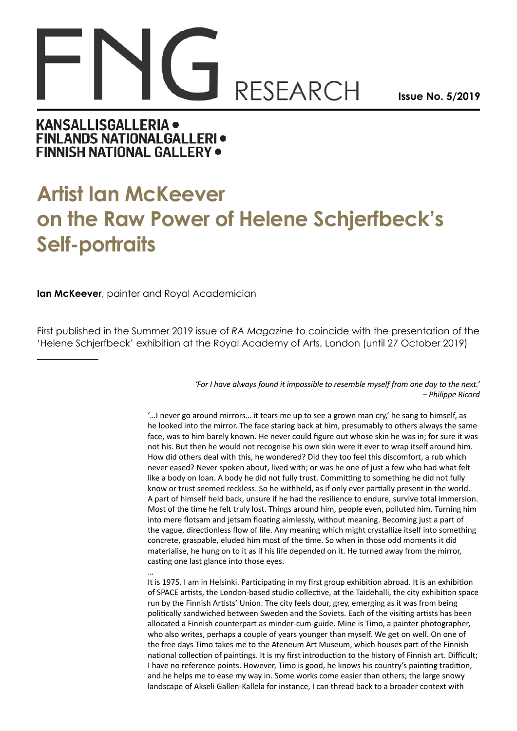## **RESEARCH**

**Issue No. 5/2019**

## **KANSALLISGALLERIA . FINLANDS NATIONALGALLERI . FINNISH NATIONAL GALLERY .**

## **Artist Ian McKeever on the Raw Power of Helene Schjerfbeck's Self-portraits**

**Ian McKeever**, painter and Royal Academician

First published in the Summer 2019 issue of *RA Magazine* to coincide with the presentation of the 'Helene Schjerfbeck' exhibition at the Royal Academy of Arts, London (until 27 October 2019)

## *'For I have always found it impossible to resemble myself from one day to the next.' – Philippe Ricord*

'…I never go around mirrors… it tears me up to see a grown man cry,' he sang to himself, as he looked into the mirror. The face staring back at him, presumably to others always the same face, was to him barely known. He never could figure out whose skin he was in; for sure it was not his. But then he would not recognise his own skin were it ever to wrap itself around him. How did others deal with this, he wondered? Did they too feel this discomfort, a rub which never eased? Never spoken about, lived with; or was he one of just a few who had what felt like a body on loan. A body he did not fully trust. Committing to something he did not fully know or trust seemed reckless. So he withheld, as if only ever partially present in the world. A part of himself held back, unsure if he had the resilience to endure, survive total immersion. Most of the time he felt truly lost. Things around him, people even, polluted him. Turning him into mere flotsam and jetsam floating aimlessly, without meaning. Becoming just a part of the vague, directionless flow of life. Any meaning which might crystallize itself into something concrete, graspable, eluded him most of the time. So when in those odd moments it did materialise, he hung on to it as if his life depended on it. He turned away from the mirror, casting one last glance into those eyes.

… It is 1975. I am in Helsinki. Participating in my first group exhibition abroad. It is an exhibition of SPACE artists, the London-based studio collective, at the Taidehalli, the city exhibition space run by the Finnish Artists' Union. The city feels dour, grey, emerging as it was from being politically sandwiched between Sweden and the Soviets. Each of the visiting artists has been allocated a Finnish counterpart as minder-cum-guide. Mine is Timo, a painter photographer, who also writes, perhaps a couple of years younger than myself. We get on well. On one of the free days Timo takes me to the Ateneum Art Museum, which houses part of the Finnish national collection of paintings. It is my first introduction to the history of Finnish art. Difficult; I have no reference points. However, Timo is good, he knows his country's painting tradition, and he helps me to ease my way in. Some works come easier than others; the large snowy landscape of Akseli Gallen-Kallela for instance, I can thread back to a broader context with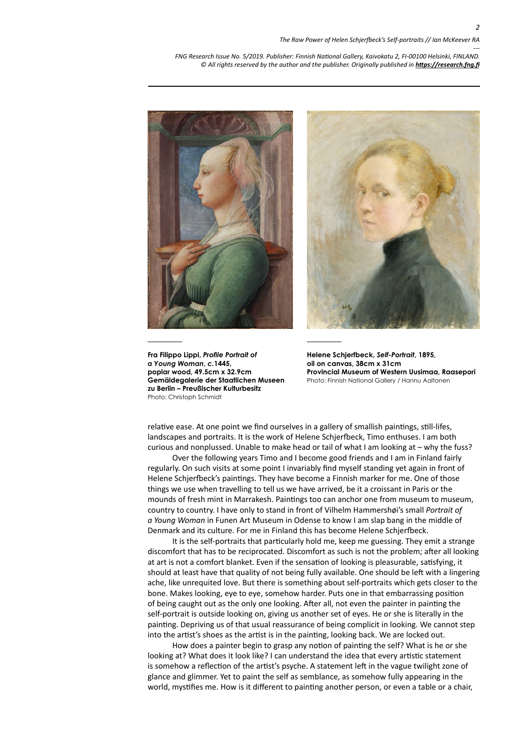



**Fra Filippo Lippi,** *Profile Portrait of a Young Woman***,** *c.***1445, poplar wood, 49.5cm x 32.9cm Gemäldegalerie der Staatlichen Museen zu Berlin – Preußischer Kulturbesitz** Photo: Christoph Schmidt

**Helene Schjerfbeck,** *Self-Portrait***, 1895, oil on canvas, 38cm x 31cm Provincial Museum of Western Uusimaa, Raasepori** Photo: Finnish National Gallery / Hannu Aaltonen

relative ease. At one point we find ourselves in a gallery of smallish paintings, still-lifes, landscapes and portraits. It is the work of Helene Schjerfbeck, Timo enthuses. I am both curious and nonplussed. Unable to make head or tail of what I am looking at – why the fuss?

Over the following years Timo and I become good friends and I am in Finland fairly regularly. On such visits at some point I invariably find myself standing yet again in front of Helene Schjerfbeck's paintings. They have become a Finnish marker for me. One of those things we use when travelling to tell us we have arrived, be it a croissant in Paris or the mounds of fresh mint in Marrakesh. Paintings too can anchor one from museum to museum, country to country. I have only to stand in front of Vilhelm Hammershøi's small *Portrait of a Young Woman* in Funen Art Museum in Odense to know I am slap bang in the middle of Denmark and its culture. For me in Finland this has become Helene Schjerfbeck.

It is the self-portraits that particularly hold me, keep me guessing. They emit a strange discomfort that has to be reciprocated. Discomfort as such is not the problem; after all looking at art is not a comfort blanket. Even if the sensation of looking is pleasurable, satisfying, it should at least have that quality of not being fully available. One should be left with a lingering ache, like unrequited love. But there is something about self-portraits which gets closer to the bone. Makes looking, eye to eye, somehow harder. Puts one in that embarrassing position of being caught out as the only one looking. After all, not even the painter in painting the self-portrait is outside looking on, giving us another set of eyes. He or she is literally in the painting. Depriving us of that usual reassurance of being complicit in looking. We cannot step into the artist's shoes as the artist is in the painting, looking back. We are locked out.

How does a painter begin to grasp any notion of painting the self? What is he or she looking at? What does it look like? I can understand the idea that every artistic statement is somehow a reflection of the artist's psyche. A statement left in the vague twilight zone of glance and glimmer. Yet to paint the self as semblance, as somehow fully appearing in the world, mystifies me. How is it different to painting another person, or even a table or a chair,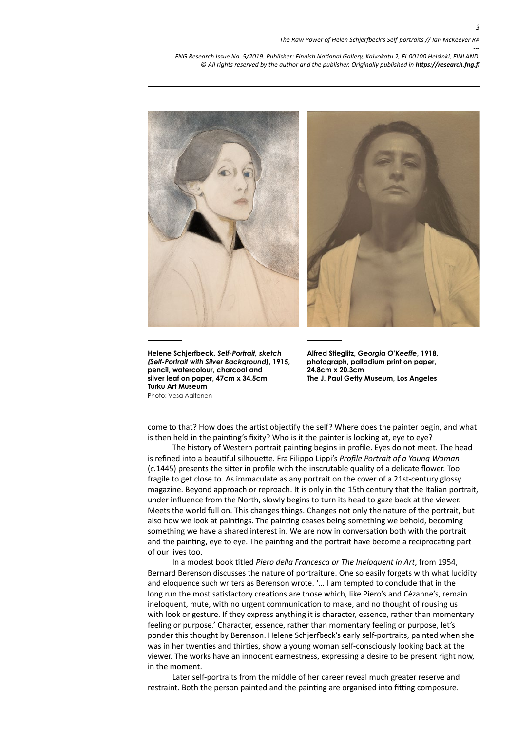

**Helene Schjerfbeck,** *Self-Portrait, sketch (Self-Portrait with Silver Background)***, 1915, pencil, watercolour, charcoal and silver leaf on paper, 47cm x 34.5cm Turku Art Museum**  Photo: Vesa Aaltonen

**Alfred Stieglitz,** *Georgia O'Keeffe***, 1918, photograph, palladium print on paper, 24.8cm x 20.3cm The J. Paul Getty Museum, Los Angeles** 

come to that? How does the artist objectify the self? Where does the painter begin, and what is then held in the painting's fixity? Who is it the painter is looking at, eye to eye?

The history of Western portrait painting begins in profile. Eyes do not meet. The head is refined into a beautiful silhouette. Fra Filippo Lippi's *Profile Portrait of a Young Woman* (*c.*1445) presents the sitter in profile with the inscrutable quality of a delicate flower. Too fragile to get close to. As immaculate as any portrait on the cover of a 21st-century glossy magazine. Beyond approach or reproach. It is only in the 15th century that the Italian portrait, under influence from the North, slowly begins to turn its head to gaze back at the viewer. Meets the world full on. This changes things. Changes not only the nature of the portrait, but also how we look at paintings. The painting ceases being something we behold, becoming something we have a shared interest in. We are now in conversation both with the portrait and the painting, eye to eye. The painting and the portrait have become a reciprocating part of our lives too.

In a modest book titled *Piero della Francesca or The Ineloquent in Art*, from 1954, Bernard Berenson discusses the nature of portraiture. One so easily forgets with what lucidity and eloquence such writers as Berenson wrote. '… I am tempted to conclude that in the long run the most satisfactory creations are those which, like Piero's and Cézanne's, remain ineloquent, mute, with no urgent communication to make, and no thought of rousing us with look or gesture. If they express anything it is character, essence, rather than momentary feeling or purpose.' Character, essence, rather than momentary feeling or purpose, let's ponder this thought by Berenson. Helene Schjerfbeck's early self-portraits, painted when she was in her twenties and thirties, show a young woman self-consciously looking back at the viewer. The works have an innocent earnestness, expressing a desire to be present right now, in the moment.

Later self-portraits from the middle of her career reveal much greater reserve and restraint. Both the person painted and the painting are organised into fitting composure.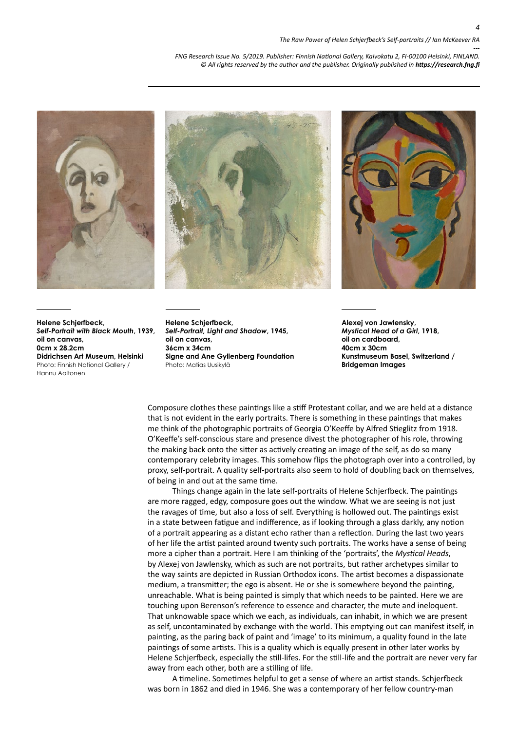



**Helene Schjerfbeck,**  *Self-Portrait, Light and Shadow***, 1945, oil on canvas, 36cm x 34cm Signe and Ane Gyllenberg Foundation** Photo: Matias Uusikylä

**Alexej von Jawlensky,**  *Mystical Head of a Girl***, 1918, oil on cardboard, 40cm x 30cm Kunstmuseum Basel, Switzerland / Bridgeman Images**

Composure clothes these paintings like a stiff Protestant collar, and we are held at a distance that is not evident in the early portraits. There is something in these paintings that makes me think of the photographic portraits of Georgia O'Keeffe by Alfred Stieglitz from 1918. O'Keeffe's self-conscious stare and presence divest the photographer of his role, throwing the making back onto the sitter as actively creating an image of the self, as do so many contemporary celebrity images. This somehow flips the photograph over into a controlled, by proxy, self-portrait. A quality self-portraits also seem to hold of doubling back on themselves, of being in and out at the same time.

Things change again in the late self-portraits of Helene Schjerfbeck. The paintings are more ragged, edgy, composure goes out the window. What we are seeing is not just the ravages of time, but also a loss of self. Everything is hollowed out. The paintings exist in a state between fatigue and indifference, as if looking through a glass darkly, any notion of a portrait appearing as a distant echo rather than a reflection. During the last two years of her life the artist painted around twenty such portraits. The works have a sense of being more a cipher than a portrait. Here I am thinking of the 'portraits', the *Mystical Heads*, by Alexej von Jawlensky, which as such are not portraits, but rather archetypes similar to the way saints are depicted in Russian Orthodox icons. The artist becomes a dispassionate medium, a transmitter; the ego is absent. He or she is somewhere beyond the painting, unreachable. What is being painted is simply that which needs to be painted. Here we are touching upon Berenson's reference to essence and character, the mute and ineloquent. That unknowable space which we each, as individuals, can inhabit, in which we are present as self, uncontaminated by exchange with the world. This emptying out can manifest itself, in painting, as the paring back of paint and 'image' to its minimum, a quality found in the late paintings of some artists. This is a quality which is equally present in other later works by Helene Schjerfbeck, especially the still-lifes. For the still-life and the portrait are never very far away from each other, both are a stilling of life.

A timeline. Sometimes helpful to get a sense of where an artist stands. Schjerfbeck was born in 1862 and died in 1946. She was a contemporary of her fellow country-man



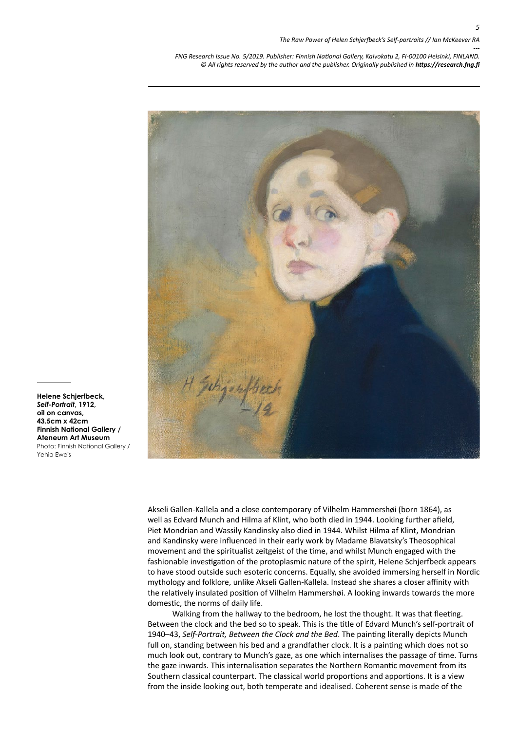*5*

*--- FNG Research Issue No. 5/2019. Publisher: Finnish National Gallery, Kaivokatu 2, FI-00100 Helsinki, FINLAND.* © All rights reserved by the author and the publisher. Originally published in **<https://research.fng.fi>** 



**Helene Schjerfbeck,**  *Self-Portrait***, 1912, oil on canvas, 43.5cm x 42cm Finnish National Gallery / Ateneum Art Museum** Photo: Finnish National Gallery / Yehia Eweis

> Akseli Gallen-Kallela and a close contemporary of Vilhelm Hammershøi (born 1864), as well as Edvard Munch and Hilma af Klint, who both died in 1944. Looking further afield, Piet Mondrian and Wassily Kandinsky also died in 1944. Whilst Hilma af Klint, Mondrian and Kandinsky were influenced in their early work by Madame Blavatsky's Theosophical movement and the spiritualist zeitgeist of the time, and whilst Munch engaged with the fashionable investigation of the protoplasmic nature of the spirit, Helene Schjerfbeck appears to have stood outside such esoteric concerns. Equally, she avoided immersing herself in Nordic mythology and folklore, unlike Akseli Gallen-Kallela. Instead she shares a closer affinity with the relatively insulated position of Vilhelm Hammershøi. A looking inwards towards the more domestic, the norms of daily life.

> Walking from the hallway to the bedroom, he lost the thought. It was that fleeting. Between the clock and the bed so to speak. This is the title of Edvard Munch's self-portrait of 1940–43, *Self-Portrait, Between the Clock and the Bed*. The painting literally depicts Munch full on, standing between his bed and a grandfather clock. It is a painting which does not so much look out, contrary to Munch's gaze, as one which internalises the passage of time. Turns the gaze inwards. This internalisation separates the Northern Romantic movement from its Southern classical counterpart. The classical world proportions and apportions. It is a view from the inside looking out, both temperate and idealised. Coherent sense is made of the